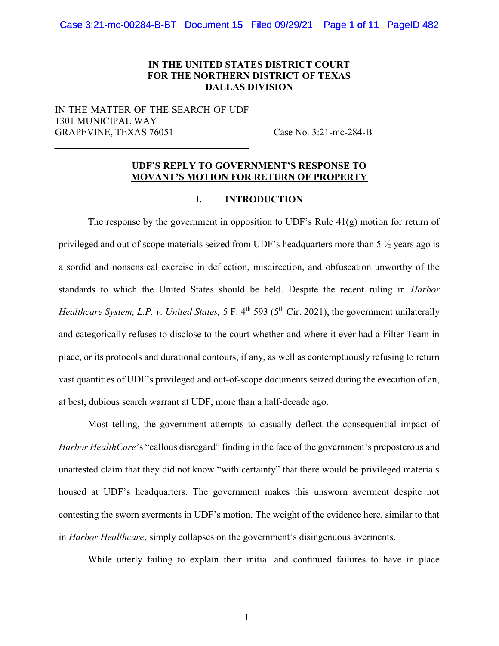# IN THE UNITED STATES DISTRICT COURT FOR THE NORTHERN DISTRICT OF TEXAS DALLAS DIVISION

IN THE MATTER OF THE SEARCH OF UDF 1301 MUNICIPAL WAY GRAPEVINE, TEXAS 76051 Case No. 3:21-mc-284-B

## UDF'S REPLY TO GOVERNMENT'S RESPONSE TO MOVANT'S MOTION FOR RETURN OF PROPERTY

## I. INTRODUCTION

The response by the government in opposition to UDF's Rule  $41(g)$  motion for return of privileged and out of scope materials seized from UDF's headquarters more than 5 ½ years ago is a sordid and nonsensical exercise in deflection, misdirection, and obfuscation unworthy of the standards to which the United States should be held. Despite the recent ruling in Harbor Healthcare System, L.P. v. United States, 5 F. 4<sup>th</sup> 593 (5<sup>th</sup> Cir. 2021), the government unilaterally and categorically refuses to disclose to the court whether and where it ever had a Filter Team in place, or its protocols and durational contours, if any, as well as contemptuously refusing to return vast quantities of UDF's privileged and out-of-scope documents seized during the execution of an, at best, dubious search warrant at UDF, more than a half-decade ago.

Most telling, the government attempts to casually deflect the consequential impact of Harbor HealthCare's "callous disregard" finding in the face of the government's preposterous and unattested claim that they did not know "with certainty" that there would be privileged materials housed at UDF's headquarters. The government makes this unsworn averment despite not contesting the sworn averments in UDF's motion. The weight of the evidence here, similar to that in Harbor Healthcare, simply collapses on the government's disingenuous averments.

While utterly failing to explain their initial and continued failures to have in place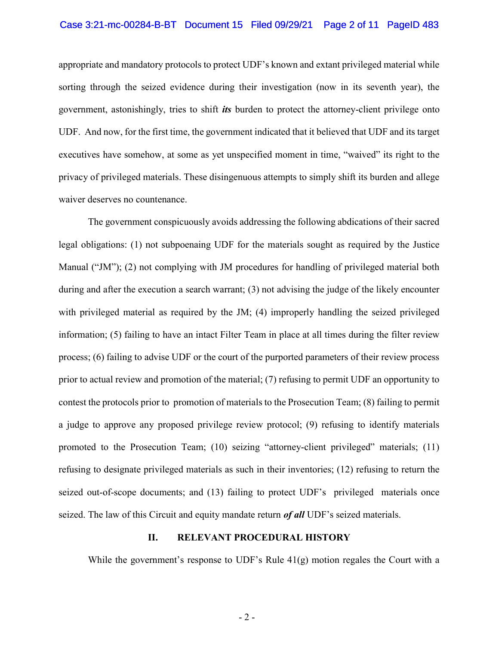#### Case 3:21-mc-00284-B-BT Document 15 Filed 09/29/21 Page 2 of 11 PageID 483

appropriate and mandatory protocols to protect UDF's known and extant privileged material while sorting through the seized evidence during their investigation (now in its seventh year), the government, astonishingly, tries to shift *its* burden to protect the attorney-client privilege onto UDF. And now, for the first time, the government indicated that it believed that UDF and its target executives have somehow, at some as yet unspecified moment in time, "waived" its right to the privacy of privileged materials. These disingenuous attempts to simply shift its burden and allege waiver deserves no countenance.

The government conspicuously avoids addressing the following abdications of their sacred legal obligations: (1) not subpoenaing UDF for the materials sought as required by the Justice Manual ("JM"); (2) not complying with JM procedures for handling of privileged material both during and after the execution a search warrant; (3) not advising the judge of the likely encounter with privileged material as required by the JM; (4) improperly handling the seized privileged information; (5) failing to have an intact Filter Team in place at all times during the filter review process; (6) failing to advise UDF or the court of the purported parameters of their review process prior to actual review and promotion of the material; (7) refusing to permit UDF an opportunity to contest the protocols prior to promotion of materials to the Prosecution Team; (8) failing to permit a judge to approve any proposed privilege review protocol; (9) refusing to identify materials promoted to the Prosecution Team; (10) seizing "attorney-client privileged" materials; (11) refusing to designate privileged materials as such in their inventories; (12) refusing to return the seized out-of-scope documents; and (13) failing to protect UDF's privileged materials once seized. The law of this Circuit and equity mandate return  $of$  all UDF's seized materials.

### II. RELEVANT PROCEDURAL HISTORY

While the government's response to UDF's Rule  $41(g)$  motion regales the Court with a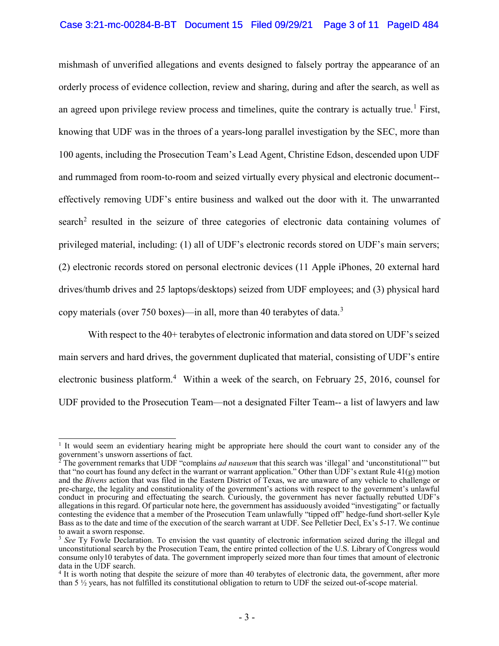### Case 3:21-mc-00284-B-BT Document 15 Filed 09/29/21 Page 3 of 11 PageID 484

mishmash of unverified allegations and events designed to falsely portray the appearance of an orderly process of evidence collection, review and sharing, during and after the search, as well as an agreed upon privilege review process and timelines, quite the contrary is actually true.<sup>1</sup> First, knowing that UDF was in the throes of a years-long parallel investigation by the SEC, more than 100 agents, including the Prosecution Team's Lead Agent, Christine Edson, descended upon UDF and rummaged from room-to-room and seized virtually every physical and electronic document- effectively removing UDF's entire business and walked out the door with it. The unwarranted search<sup>2</sup> resulted in the seizure of three categories of electronic data containing volumes of privileged material, including: (1) all of UDF's electronic records stored on UDF's main servers; (2) electronic records stored on personal electronic devices (11 Apple iPhones, 20 external hard drives/thumb drives and 25 laptops/desktops) seized from UDF employees; and (3) physical hard copy materials (over 750 boxes)—in all, more than 40 terabytes of data.<sup>3</sup>

With respect to the 40+ terabytes of electronic information and data stored on UDF's seized main servers and hard drives, the government duplicated that material, consisting of UDF's entire electronic business platform.<sup>4</sup> Within a week of the search, on February 25, 2016, counsel for UDF provided to the Prosecution Team—not a designated Filter Team-- a list of lawyers and law

<sup>&</sup>lt;sup>1</sup> It would seem an evidentiary hearing might be appropriate here should the court want to consider any of the government's unsworn assertions of fact.<br><sup>2</sup> The government remarks that UDF "complains *ad nauseum* that this search was 'illegal' and 'unconstitutional'" but

that "no court has found any defect in the warrant or warrant application." Other than UDF's extant Rule 41(g) motion and the Bivens action that was filed in the Eastern District of Texas, we are unaware of any vehicle to challenge or pre-charge, the legality and constitutionality of the government's actions with respect to the government's unlawful conduct in procuring and effectuating the search. Curiously, the government has never factually rebutted UDF's allegations in this regard. Of particular note here, the government has assiduously avoided "investigating" or factually contesting the evidence that a member of the Prosecution Team unlawfully "tipped off" hedge-fund short-seller Kyle Bass as to the date and time of the execution of the search warrant at UDF. See Pelletier Decl, Ex's 5-17. We continue to await a sworn response.

 $3$  See Ty Fowle Declaration. To envision the vast quantity of electronic information seized during the illegal and unconstitutional search by the Prosecution Team, the entire printed collection of the U.S. Library of Congress would consume only10 terabytes of data. The government improperly seized more than four times that amount of electronic data in the UDF search.

<sup>&</sup>lt;sup>4</sup> It is worth noting that despite the seizure of more than 40 terabytes of electronic data, the government, after more than 5 ½ years, has not fulfilled its constitutional obligation to return to UDF the seized out-of-scope material.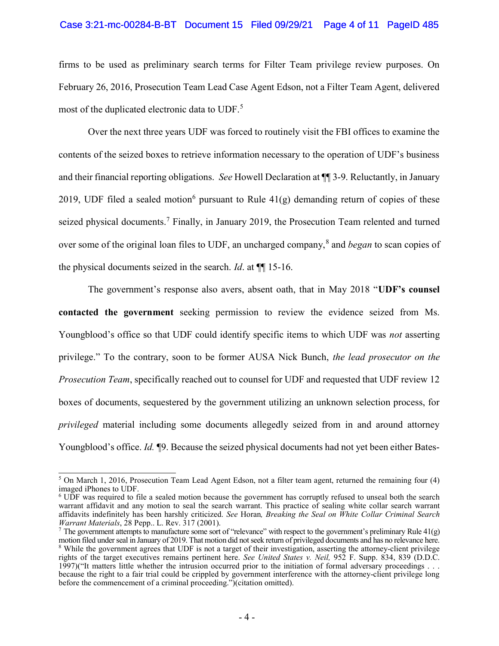#### Case 3:21-mc-00284-B-BT Document 15 Filed 09/29/21 Page 4 of 11 PageID 485

firms to be used as preliminary search terms for Filter Team privilege review purposes. On February 26, 2016, Prosecution Team Lead Case Agent Edson, not a Filter Team Agent, delivered most of the duplicated electronic data to UDF.<sup>5</sup>

Over the next three years UDF was forced to routinely visit the FBI offices to examine the contents of the seized boxes to retrieve information necessary to the operation of UDF's business and their financial reporting obligations. See Howell Declaration at ¶¶ 3-9. Reluctantly, in January 2019, UDF filed a sealed motion<sup>6</sup> pursuant to Rule  $41(g)$  demanding return of copies of these seized physical documents.<sup>7</sup> Finally, in January 2019, the Prosecution Team relented and turned over some of the original loan files to UDF, an uncharged company, $\delta$  and *began* to scan copies of the physical documents seized in the search. Id. at ¶¶ 15-16.

The government's response also avers, absent oath, that in May 2018 "UDF's counsel contacted the government seeking permission to review the evidence seized from Ms. Youngblood's office so that UDF could identify specific items to which UDF was *not* asserting privilege." To the contrary, soon to be former AUSA Nick Bunch, the lead prosecutor on the Prosecution Team, specifically reached out to counsel for UDF and requested that UDF review 12 boxes of documents, sequestered by the government utilizing an unknown selection process, for privileged material including some documents allegedly seized from in and around attorney Youngblood's office. Id. ¶9. Because the seized physical documents had not yet been either Bates-

 5 On March 1, 2016, Prosecution Team Lead Agent Edson, not a filter team agent, returned the remaining four (4) imaged iPhones to UDF.

<sup>&</sup>lt;sup>6</sup> UDF was required to file a sealed motion because the government has corruptly refused to unseal both the search warrant affidavit and any motion to seal the search warrant. This practice of sealing white collar search warrant affidavits indefinitely has been harshly criticized. See Horan, Breaking the Seal on White Collar Criminal Search Warrant Materials, 28 Pepp.. L. Rev. 317 (2001).

<sup>&</sup>lt;sup>7</sup> The government attempts to manufacture some sort of "relevance" with respect to the government's preliminary Rule  $41(g)$ motion filed under seal in January of 2019. That motion did not seek return of privileged documents and has no relevance here. <sup>8</sup> While the government agrees that UDF is not a target of their investigation, asserting the attorney-client privilege rights of the target executives remains pertinent here. See United States v. Neil, 952 F. Supp. 834, 839 (D.D.C. 1997)("It matters little whether the intrusion occurred prior to the initiation of formal adversary proceedings . . . because the right to a fair trial could be crippled by government interference with the attorney-client privilege long before the commencement of a criminal proceeding.")(citation omitted).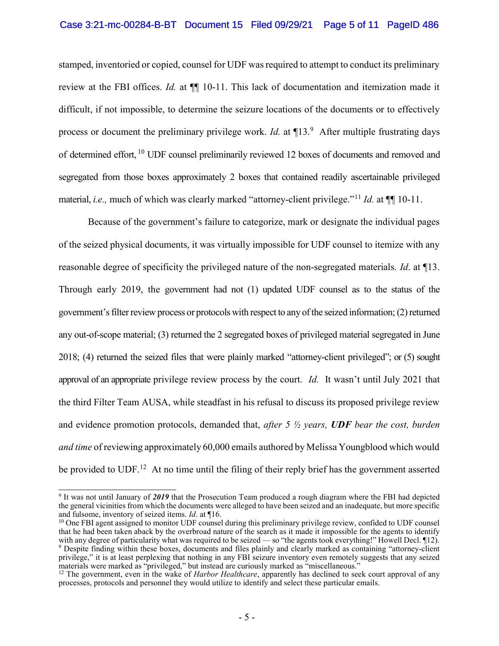### Case 3:21-mc-00284-B-BT Document 15 Filed 09/29/21 Page 5 of 11 PageID 486

stamped, inventoried or copied, counsel for UDF was required to attempt to conduct its preliminary review at the FBI offices. Id. at  $\P$  10-11. This lack of documentation and itemization made it difficult, if not impossible, to determine the seizure locations of the documents or to effectively process or document the preliminary privilege work. *Id.* at  $\P$ 13.<sup>9</sup> After multiple frustrating days of determined effort, <sup>10</sup> UDF counsel preliminarily reviewed 12 boxes of documents and removed and segregated from those boxes approximately 2 boxes that contained readily ascertainable privileged material, *i.e.*, much of which was clearly marked "attorney-client privilege."<sup>11</sup> *Id.* at  $\P$  10-11.

Because of the government's failure to categorize, mark or designate the individual pages of the seized physical documents, it was virtually impossible for UDF counsel to itemize with any reasonable degree of specificity the privileged nature of the non-segregated materials. Id. at ¶13. Through early 2019, the government had not (1) updated UDF counsel as to the status of the government's filter review process or protocols with respect to any of the seized information; (2) returned any out-of-scope material; (3) returned the 2 segregated boxes of privileged material segregated in June 2018; (4) returned the seized files that were plainly marked "attorney-client privileged"; or (5) sought approval of an appropriate privilege review process by the court. Id. It wasn't until July 2021 that the third Filter Team AUSA, while steadfast in his refusal to discuss its proposed privilege review and evidence promotion protocols, demanded that, after 5  $\frac{1}{2}$  years, UDF bear the cost, burden and time of reviewing approximately 60,000 emails authored by Melissa Youngblood which would be provided to UDF.<sup>12</sup> At no time until the filing of their reply brief has the government asserted

<sup>&</sup>lt;sup>9</sup> It was not until January of 2019 that the Prosecution Team produced a rough diagram where the FBI had depicted the general vicinities from which the documents were alleged to have been seized and an inadequate, but more specific and fulsome, inventory of seized items. Id. at ¶16.

 $10$  One FBI agent assigned to monitor UDF counsel during this preliminary privilege review, confided to UDF counsel that he had been taken aback by the overbroad nature of the search as it made it impossible for the agents to identify with any degree of particularity what was required to be seized — so "the agents took everything!" Howell Decl. [12]. 9 Despite finding within these boxes, documents and files plainly and clearly marked as containing "attorney-client privilege," it is at least perplexing that nothing in any FBI seizure inventory even remotely suggests that any seized materials were marked as "privileged," but instead are curiously marked as "miscellaneous."

<sup>&</sup>lt;sup>12</sup> The government, even in the wake of *Harbor Healthcare*, apparently has declined to seek court approval of any processes, protocols and personnel they would utilize to identify and select these particular emails.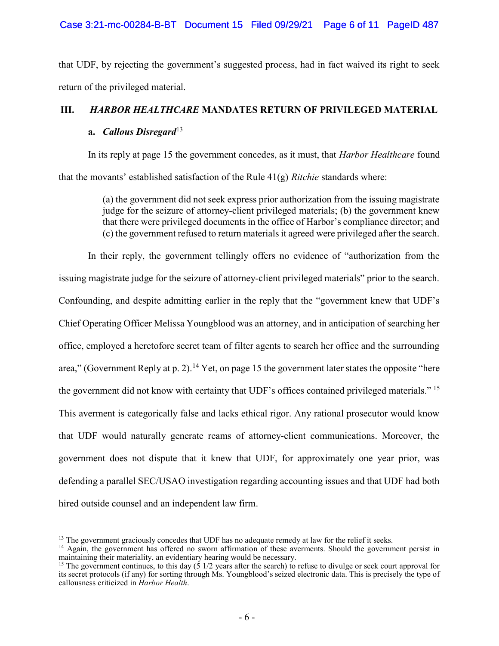# Case 3:21-mc-00284-B-BT Document 15 Filed 09/29/21 Page 6 of 11 PageID 487

that UDF, by rejecting the government's suggested process, had in fact waived its right to seek return of the privileged material.

# III. HARBOR HEALTHCARE MANDATES RETURN OF PRIVILEGED MATERIAL

# a. Callous Disregard<sup>13</sup>

In its reply at page 15 the government concedes, as it must, that *Harbor Healthcare* found that the movants' established satisfaction of the Rule  $41(g)$  *Ritchie* standards where:

> (a) the government did not seek express prior authorization from the issuing magistrate judge for the seizure of attorney-client privileged materials; (b) the government knew that there were privileged documents in the office of Harbor's compliance director; and (c) the government refused to return materials it agreed were privileged after the search.

In their reply, the government tellingly offers no evidence of "authorization from the issuing magistrate judge for the seizure of attorney-client privileged materials" prior to the search. Confounding, and despite admitting earlier in the reply that the "government knew that UDF's Chief Operating Officer Melissa Youngblood was an attorney, and in anticipation of searching her office, employed a heretofore secret team of filter agents to search her office and the surrounding area," (Government Reply at p. 2).<sup>14</sup> Yet, on page 15 the government later states the opposite "here the government did not know with certainty that UDF's offices contained privileged materials."<sup>15</sup> This averment is categorically false and lacks ethical rigor. Any rational prosecutor would know that UDF would naturally generate reams of attorney-client communications. Moreover, the government does not dispute that it knew that UDF, for approximately one year prior, was defending a parallel SEC/USAO investigation regarding accounting issues and that UDF had both hired outside counsel and an independent law firm.

 $\overline{a}$ <sup>13</sup> The government graciously concedes that UDF has no adequate remedy at law for the relief it seeks.

<sup>&</sup>lt;sup>14</sup> Again, the government has offered no sworn affirmation of these averments. Should the government persist in maintaining their materiality, an evidentiary hearing would be necessary.

<sup>&</sup>lt;sup>15</sup> The government continues, to this day (5 1/2 years after the search) to refuse to divulge or seek court approval for its secret protocols (if any) for sorting through Ms. Youngblood's seized electronic data. This is precisely the type of callousness criticized in Harbor Health.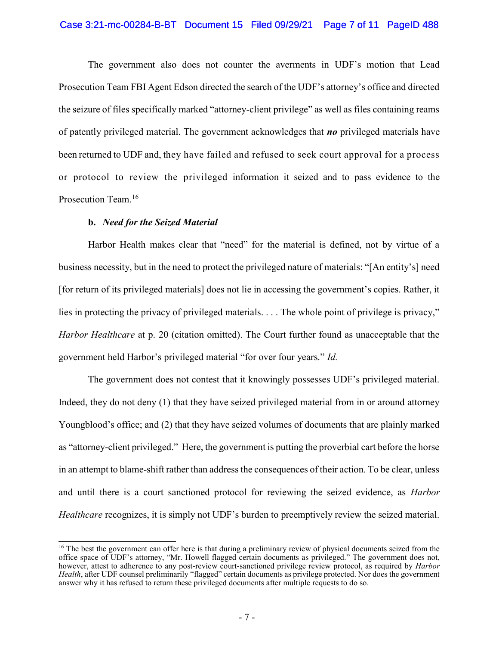#### Case 3:21-mc-00284-B-BT Document 15 Filed 09/29/21 Page 7 of 11 PageID 488

The government also does not counter the averments in UDF's motion that Lead Prosecution Team FBI Agent Edson directed the search of the UDF's attorney's office and directed the seizure of files specifically marked "attorney-client privilege" as well as files containing reams of patently privileged material. The government acknowledges that  $\bf{no}$  privileged materials have been returned to UDF and, they have failed and refused to seek court approval for a process or protocol to review the privileged information it seized and to pass evidence to the Prosecution Team.<sup>16</sup>

### b. Need for the Seized Material

Harbor Health makes clear that "need" for the material is defined, not by virtue of a business necessity, but in the need to protect the privileged nature of materials: "[An entity's] need [for return of its privileged materials] does not lie in accessing the government's copies. Rather, it lies in protecting the privacy of privileged materials. . . . The whole point of privilege is privacy," Harbor Healthcare at p. 20 (citation omitted). The Court further found as unacceptable that the government held Harbor's privileged material "for over four years." Id.

The government does not contest that it knowingly possesses UDF's privileged material. Indeed, they do not deny (1) that they have seized privileged material from in or around attorney Youngblood's office; and (2) that they have seized volumes of documents that are plainly marked as "attorney-client privileged." Here, the government is putting the proverbial cart before the horse in an attempt to blame-shift rather than address the consequences of their action. To be clear, unless and until there is a court sanctioned protocol for reviewing the seized evidence, as Harbor Healthcare recognizes, it is simply not UDF's burden to preemptively review the seized material.

 $\overline{a}$ <sup>16</sup> The best the government can offer here is that during a preliminary review of physical documents seized from the office space of UDF's attorney, "Mr. Howell flagged certain documents as privileged." The government does not, however, attest to adherence to any post-review court-sanctioned privilege review protocol, as required by *Harbor* Health, after UDF counsel preliminarily "flagged" certain documents as privilege protected. Nor does the government answer why it has refused to return these privileged documents after multiple requests to do so.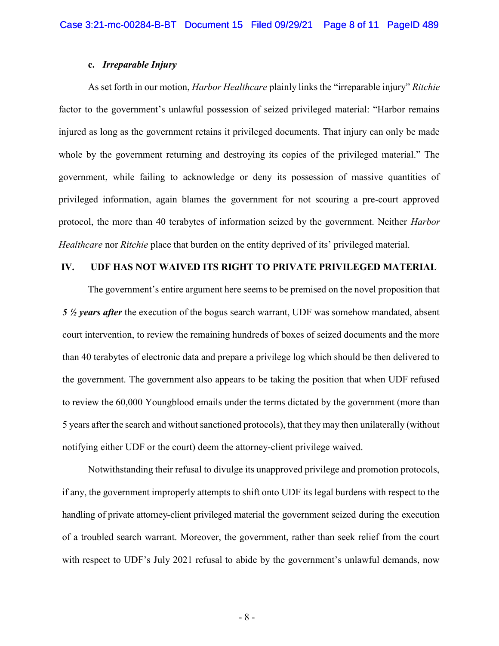### c. Irreparable Injury

As set forth in our motion, *Harbor Healthcare* plainly links the "irreparable injury" Ritchie factor to the government's unlawful possession of seized privileged material: "Harbor remains injured as long as the government retains it privileged documents. That injury can only be made whole by the government returning and destroying its copies of the privileged material." The government, while failing to acknowledge or deny its possession of massive quantities of privileged information, again blames the government for not scouring a pre-court approved protocol, the more than 40 terabytes of information seized by the government. Neither Harbor Healthcare nor Ritchie place that burden on the entity deprived of its' privileged material.

### IV. UDF HAS NOT WAIVED ITS RIGHT TO PRIVATE PRIVILEGED MATERIAL

The government's entire argument here seems to be premised on the novel proposition that 5  $\frac{1}{2}$  years after the execution of the bogus search warrant, UDF was somehow mandated, absent court intervention, to review the remaining hundreds of boxes of seized documents and the more than 40 terabytes of electronic data and prepare a privilege log which should be then delivered to the government. The government also appears to be taking the position that when UDF refused to review the 60,000 Youngblood emails under the terms dictated by the government (more than 5 years after the search and without sanctioned protocols), that they may then unilaterally (without notifying either UDF or the court) deem the attorney-client privilege waived.

Notwithstanding their refusal to divulge its unapproved privilege and promotion protocols, if any, the government improperly attempts to shift onto UDF its legal burdens with respect to the handling of private attorney-client privileged material the government seized during the execution of a troubled search warrant. Moreover, the government, rather than seek relief from the court with respect to UDF's July 2021 refusal to abide by the government's unlawful demands, now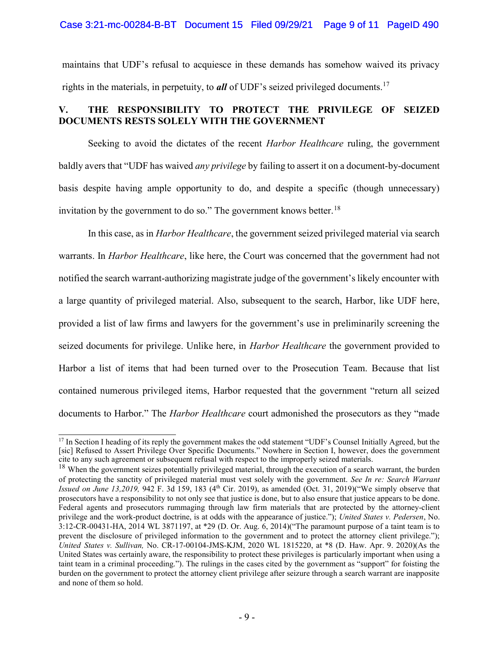### Case 3:21-mc-00284-B-BT Document 15 Filed 09/29/21 Page 9 of 11 PageID 490

maintains that UDF's refusal to acquiesce in these demands has somehow waived its privacy rights in the materials, in perpetuity, to **all** of UDF's seized privileged documents.<sup>17</sup>

# V. THE RESPONSIBILITY TO PROTECT THE PRIVILEGE OF SEIZED DOCUMENTS RESTS SOLELY WITH THE GOVERNMENT

Seeking to avoid the dictates of the recent *Harbor Healthcare* ruling, the government baldly avers that "UDF has waived *any privilege* by failing to assert it on a document-by-document basis despite having ample opportunity to do, and despite a specific (though unnecessary) invitation by the government to do so." The government knows better.<sup>18</sup>

In this case, as in *Harbor Healthcare*, the government seized privileged material via search warrants. In *Harbor Healthcare*, like here, the Court was concerned that the government had not notified the search warrant-authorizing magistrate judge of the government's likely encounter with a large quantity of privileged material. Also, subsequent to the search, Harbor, like UDF here, provided a list of law firms and lawyers for the government's use in preliminarily screening the seized documents for privilege. Unlike here, in *Harbor Healthcare* the government provided to Harbor a list of items that had been turned over to the Prosecution Team. Because that list contained numerous privileged items, Harbor requested that the government "return all seized documents to Harbor." The *Harbor Healthcare* court admonished the prosecutors as they "made

 $\overline{1}$  $17$  In Section I heading of its reply the government makes the odd statement "UDF's Counsel Initially Agreed, but the [sic] Refused to Assert Privilege Over Specific Documents." Nowhere in Section I, however, does the government cite to any such agreement or subsequent refusal with respect to the improperly seized materials.

 $18$  When the government seizes potentially privileged material, through the execution of a search warrant, the burden of protecting the sanctity of privileged material must vest solely with the government. See In re: Search Warrant Issued on June 13,2019, 942 F. 3d 159, 183 (4<sup>th</sup> Cir. 2019), as amended (Oct. 31, 2019)("We simply observe that prosecutors have a responsibility to not only see that justice is done, but to also ensure that justice appears to be done. Federal agents and prosecutors rummaging through law firm materials that are protected by the attorney-client privilege and the work-product doctrine, is at odds with the appearance of justice."); United States v. Pedersen, No. 3:12-CR-00431-HA, 2014 WL 3871197, at \*29 (D. Or. Aug. 6, 2014)("The paramount purpose of a taint team is to prevent the disclosure of privileged information to the government and to protect the attorney client privilege."); United States v. Sullivan, No. CR-17-00104-JMS-KJM, 2020 WL 1815220, at \*8 (D. Haw. Apr. 9. 2020)(As the United States was certainly aware, the responsibility to protect these privileges is particularly important when using a taint team in a criminal proceeding."). The rulings in the cases cited by the government as "support" for foisting the burden on the government to protect the attorney client privilege after seizure through a search warrant are inapposite and none of them so hold.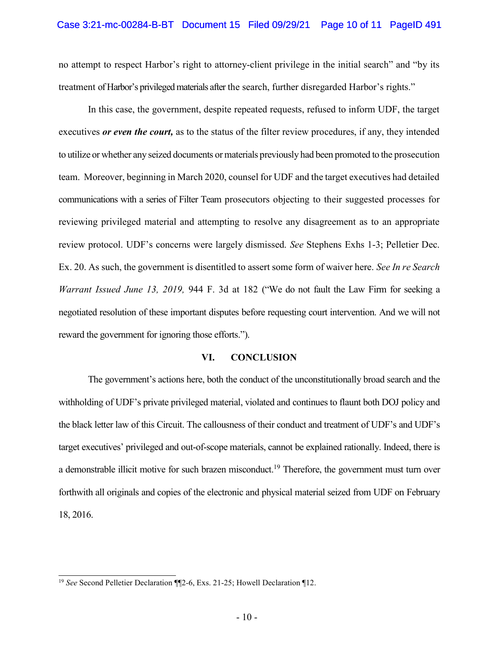no attempt to respect Harbor's right to attorney-client privilege in the initial search" and "by its treatment of Harbor's privileged materials after the search, further disregarded Harbor's rights."

In this case, the government, despite repeated requests, refused to inform UDF, the target executives *or even the court*, as to the status of the filter review procedures, if any, they intended to utilize or whether any seized documents or materials previously had been promoted to the prosecution team. Moreover, beginning in March 2020, counsel for UDF and the target executives had detailed communications with a series of Filter Team prosecutors objecting to their suggested processes for reviewing privileged material and attempting to resolve any disagreement as to an appropriate review protocol. UDF's concerns were largely dismissed. See Stephens Exhs 1-3; Pelletier Dec. Ex. 20. As such, the government is disentitled to assert some form of waiver here. See In re Search Warrant Issued June 13, 2019, 944 F. 3d at 182 ("We do not fault the Law Firm for seeking a negotiated resolution of these important disputes before requesting court intervention. And we will not reward the government for ignoring those efforts.").

#### VI. CONCLUSION

The government's actions here, both the conduct of the unconstitutionally broad search and the withholding of UDF's private privileged material, violated and continues to flaunt both DOJ policy and the black letter law of this Circuit. The callousness of their conduct and treatment of UDF's and UDF's target executives' privileged and out-of-scope materials, cannot be explained rationally. Indeed, there is a demonstrable illicit motive for such brazen misconduct.<sup>19</sup> Therefore, the government must turn over forthwith all originals and copies of the electronic and physical material seized from UDF on February 18, 2016.

 $\overline{1}$ <sup>19</sup> See Second Pelletier Declaration  $\P$ 2-6, Exs. 21-25; Howell Declaration  $\P$ 12.